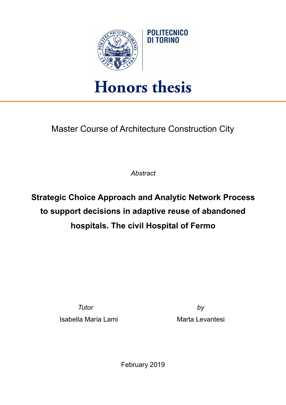

## **Honors thesis**

Master Course of Architecture Construction City

*Abstract* 

**Strategic Choice Approach and Analytic Network Process to support decisions in adaptive reuse of abandoned hospitals. The civil Hospital of Fermo** 

*Tutor by*

Isabella Maria Lami **Marta Levantesi** 

February 2019